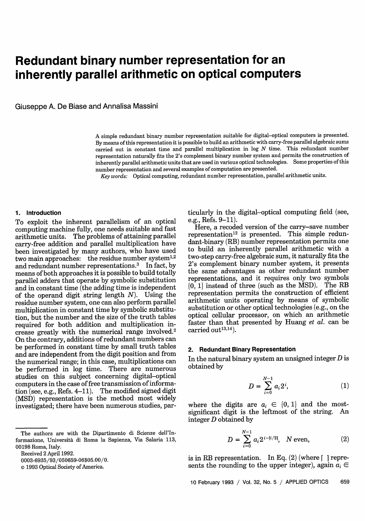# **Redundant binary number representation for an inherently parallel arithmetic on optical computers**

Giuseppe A. De Biase and Annalisa Massini

A simple redundant binary number representation suitable for digital-optical computers is presented. By means of this representation it is possible to build an arithmetic with carry-free parallel algebraic sums carried out in constant time and parallel multiplication in log *N* time. This redundant number representation naturally fits the 2's complement binary number system and permits the construction of inherently parallel arithmetic units that are used in various optical technologies. Some properties of this number representation and several examples of computation are presented.

*Key words:* Optical computing, redundant number representation, parallel arithmetic units.

# **1. Introduction**

To exploit the inherent parallelism of an optical computing machine fully, one needs suitable and fast arithmetic units. The problems of attaining parallel carry-free addition and parallel multiplication have been investigated by many authors, who have used two main approaches: the residue number system<sup>1,2</sup> and redundant number representations.<sup>3</sup> In fact, by means of both approaches it is possible to build totally parallel adders that operate by symbolic substitution and in constant time (the adding time is independent of the operand digit string length  $N$ ). Using the residue number system, one can also perform parallel multiplication in constant time by symbolic substitution, but the number and the size of the truth tables required for both addition and multiplication increase greatly with the numerical range involved.<sup>2</sup> On the contrary, additions of redundant numbers can be performed in constant time by small truth tables and are independent from the digit position and from the numerical range; in this case, multiplications can be performed in log time. There are numerous studies on this subject concerning digital-optical computers in the case of free transmission of information (see, e.g., Refs. 4-11). The modified signed digit (MSD) representation is the method most widely investigated; there have been numerous studies, par-

Received 2 April 1992.

0003-6935/93/050659-06\$05.00/0.

ticularly in the digital-optical computing field (see, e.g., Refs.  $9-11$ ).

Here, a recoded version of the carry-save number representation<sup>12</sup> is presented. This simple redundant-binary (RB) number representation permits one to build an inherently parallel arithmetic with a two-step carry-free algebraic sum, it naturally fits the 2's complement binary number system, it presents the same advantages as other redundant number representations, and it requires only two symbols  $\{0, 1\}$  instead of three (such as the MSD). The RB representation permits the construction of efficient arithmetic units operating by means of symbolic substitution or other optical technologies (e.g., on the optical cellular processor, on which an arithmetic faster than that presented by Huang *et al.* can be carried out $13,14$ ).

#### **2. Redundant Binary Representation**

In the natural binary system an unsigned integer  $D$  is obtained by

$$
D = \sum_{i=0}^{N-1} a_i 2^i, \tag{1}
$$

where the digits are  $a_i \in \{0, 1\}$  and the mostsignificant digit is the leftmost of the string. An integer D obtained by

$$
D = \sum_{i=0}^{N-1} a_i 2^{i - \lceil i/2 \rceil}, \quad N \text{ even}, \tag{2}
$$

is in RB representation. In Eq.  $(2)$  (where  $\lceil$  1 represents the rounding to the upper integer), again  $a_i \in$ 

The authors are with the Dipartimento di Scienze dell'Informazione, Universita di Roma la Sapienza, Via Salaria 113, 00198 Roma, Italy.

*<sup>©</sup>* 1993 Optical Society of America.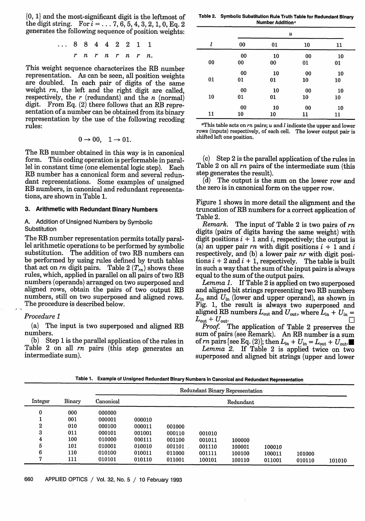{0, 1} and the most-significant digit is the leftmost of the digit string. For  $i = ... 7, 6, 5, 4, 3, 2, 1, 0,$  Eq. 2 generates the following sequence of position weights:

> ... 8 8 4 4 2 2 1 1 *r n r n r n r n.*

This weight sequence characterizes the RB number representation. As can be seen, all position weights are doubled. In each pair of digits of the same weight *n,* the left and the right digit are called, respectively, the *r* (redundant) and the *n* (normal) digit. From Eq. (2) there follows that an RB repre-<br>sentation of a number can be obtained from its binary representation by the use of the following recoding rules:

$$
0 \to 00, \quad 1 \to 01.
$$

The RB number obtained in this way is in canonical<br>form. This coding operation is performable in parallel in constant time (one elemental logic step). Each RB number has a canonical form and several redundant representations. Some examples of unsigned RB numbers, in canonical and redundant representations, are shown in Table 1.

#### **3. Arithmetic with Redundant Binary Numbers**

## **A.** Addition of Unsigned Numbers by Symbolic **Substitution**

The RB number representation permits totally parallel arithmetic operations to be performed by symbolic substitution. The addition of two RB numbers can be performed by using rules defined by truth tables that act on *rn* digit pairs. Table  $2(T_m)$  shows these rules, which, applied in parallel on all pairs of two RB numbers (operands) arranged on two superposed and aligned rows, obtain the pairs of two output RB numbers, still on two superposed and aligned rows. The procedure is described below.

# *Procedure 1*

(a) The input is two superposed and aligned RB numbers.

(b) Step 1 is the parallel application of the rules in Table 2 on all *rn* pairs (this step generates an intermediate sum).

**Table 2. Symbolic Substitution Rule Truth Table for Redundant Binary Number Additiona**

|    |        | u      |    |    |  |
|----|--------|--------|----|----|--|
| l  | 00     | 01     | 10 | 11 |  |
|    | 00     | 10     | 00 | 10 |  |
| 00 | $00\,$ | $00\,$ | 01 | 01 |  |
|    | 00     | 10     | 00 | 10 |  |
| 01 | 01     | 01     | 10 | 10 |  |
|    | 00     | 10     | 00 | 10 |  |
| 10 | 01     | 01     | 10 | 10 |  |
|    | 00     | 10     | 00 | 10 |  |
| 11 | 10     | 10     | 11 | 11 |  |

<sup>a</sup>This table acts on  $rn$  pairs;  $u$  and  $l$  indicate the upper and lower rows (inputs) respectively, of each cell. The lower output pair is shifted left one position.

(c) Step 2 is the parallel application of the rules in Table 2 on all *rn* pairs of the intermediate sum (this step generates the result).

(d) The output is the sum on the lower row and the zero is in canonical form on the upper row.

Figure 1 shows in more detail the alignment and the truncation of RB numbers for a correct application of Table 2.<br>*Remark*.

*Remark.* The input of Table 2 is two pairs of *rn* digits (pairs of digits having the same weight) with digit positions  $i + 1$  and i, respectively; the output is (a) an upper pair *rn* with digit positions  $i + 1$  and  $i$  respectively, and (b) a lower pair *nr* with digit positions  $i + 2$  and  $i + 1$ , respectively. The table is built in such a way that the sum of the input pairs is always equal to the sum of the output pairs.

*Lemma 1.* If Table 2 is applied on two superposed and aligned bit strings representing two RB numbers  $L_{\text{in}}$  and  $U_{\text{in}}$  (lower and upper operand), as shown in Fig. 1, the result is always two superposed and aligned RB numbers  $L_{\text{out}}$  and  $U_{\text{out}}$ , where  $\bar{L}_{\text{in}} + U_{\text{in}}$  =  $L_{\text{out}} + U_{\text{out}}$ .

*Proof.* The application of Table 2 preserves the sum of pairs (see Remark). An RB number is a sum of  $rn$  pairs [see Eq. (2)]; then  $L_{\text{in}} + U_{\text{in}} = L_{\text{out}} + U_{\text{out}}$ .

*Lemma 2.* If Table 2 is applied twice on two superposed and aligned bit strings (upper and lower

**Table 1. Example of Unsigned Redundant Binary Numbers in Canonical and Redundant Representation**

|                  |        | Redundant Binary Representation |        |        |        |           |        |        |        |
|------------------|--------|---------------------------------|--------|--------|--------|-----------|--------|--------|--------|
| Integer          | Binary | Canonical                       |        |        |        | Redundant |        |        |        |
| 0                | 000    | 000000                          |        |        |        |           |        |        |        |
|                  | 001    | 000001                          | 000010 |        |        |           |        |        |        |
| $\boldsymbol{2}$ | 010    | 000100                          | 000011 | 001000 |        |           |        |        |        |
| 3                | 011    | 000101                          | 001001 | 000110 | 001010 |           |        |        |        |
| 4                | 100    | 010000                          | 000111 | 001100 | 001011 | 100000    |        |        |        |
| 5                | 101    | 010001                          | 010010 | 001101 | 001110 | 100001    | 100010 |        |        |
| 6                | 110    | 010100                          | 010011 | 011000 | 001111 | 100100    | 100011 | 101000 |        |
| Π,               | 111    | 010101                          | 010110 | 011001 | 100101 | 100110    | 011001 | 010110 | 101010 |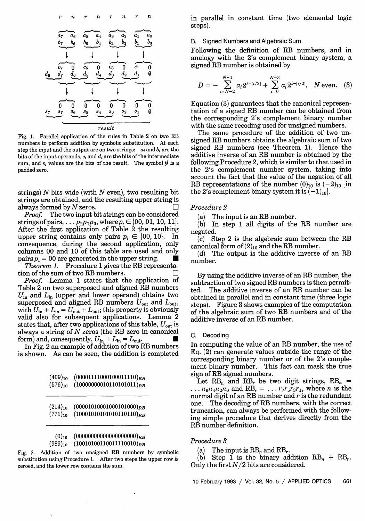

Fig. 1. Parallel application of the rules in Table 2 on two RB numbers to perform addition by symbolic substitution. At each step the input and the output are on two strings:  $a_i$  and  $b_i$  are the bits of the input operands,  $c_i$  and  $d_i$  are the bits of the intermediate sum, and  $s_i$  values are the bits of the result. The symbol  $\emptyset$  is a padded zero.

strings) *N* bits wide (with *N* even), two resulting bit strings are obtained, and the resulting upper string is always formed by  $N$  zeros.

*Proof.* The two input bit strings can be considered strings of pairs,  $\ldots p_2p_1p_0$ , where  $p_i \in \{00, 01, 10, 11\}$ . After the first application of Table 2 the resulting upper string contains only pairs  $p_i \in \{00, 10\}$ . In consequence, during the second application, only columns 00 and 10 of this table are used and only pairs  $p_i = 00$  are generated in the upper string.

*Theorem 1.* Procedure 1 gives the RB representation of the sum of two RB numbers.

*Proof.* Lemma 1 states that the application of Table 2 on two superposed and aligned RB numbers  $U_{\text{in}}$  and  $L_{\text{in}}$  (upper and lower operand) obtains two superposed and aligned RB numbers  $U_{\text{out}}$  and  $L_{\text{out}}$ , with  $U_{\text{in}} + L_{\text{in}} = U_{\text{out}} + L_{\text{out}}$ ; this property is obviously valid also for subsequent applications. Lemma 2 states that, after two applications of this table,  $U_{\text{out}}$  is always a string of *N* zeros (the RB zero in canonical form) and, consequently,  $U_{\text{in}} + L_{\text{in}} = L_{\text{out}}$ .

In Fig. 2 an example of addition of two RB numbers is shown. As can be seen, the addition is completed

| $(409)_{10}$ | $(00001111000100011110)_{RB}$ |
|--------------|-------------------------------|
| $(576)_{10}$ | $(10000000010110101011)_{RB}$ |

| $(214)_{10}$ | $(00001010001000101000)_{RB}$ |
|--------------|-------------------------------|
| $(771)_{10}$ | $(10001010101010110110)_{RB}$ |

| $(0)_{10}$   | $(000000000000000000)_{RB}$   |
|--------------|-------------------------------|
| $(985)_{10}$ | $(10010100110011110010)_{RB}$ |

Fig. 2. Addition of two unsigned RB numbers by symbolic substitution using Procedure 1. After two steps the upper row is zeroed, and the lower row contains the sum.

in parallel in constant time (two elemental logic steps).

## B. Signed Numbers and Algebraic Sum

Following the definition of RB numbers, and in analogy with the 2's complement binary system, a signed RB number is obtained by

$$
D = -\sum_{i=N-2}^{N-1} a_i 2^{i-|i/2|} + \sum_{i=0}^{N-3} a_i 2^{i-|i/2|}, \quad N \text{ even.} \quad (3)
$$

Equation (3) guarantees that the canonical representation of a signed RB number can be obtained from the corresponding 2's complement binary number with the same recoding used for unsigned numbers.

The same procedure of the addition of two unsigned RB numbers obtains the algebraic sum of two signed RB numbers (see Theorem 1). Hence the additive inverse of an RB number is obtained by the following Procedure 2, which is similar to that used in the 2's complement number system, taking into account the fact that the value of the negation of all RB representations of the number  $(0)_{10}$  is  $(-2)_{10}$  [in the 2's complement binary system it is  $(-1)<sub>10</sub>$ .

#### *Procedure 2*

(a) The input is an RB number.

(b) In step 1 all digits of the RB number are negated.

(c) Step 2 is the algebraic sum between the RB canonical form of  $(2)_{10}$  and the RB number.

(d) The output is the additive inverse of an RB number.

By using the additive inverse of an RB number, the subtraction of two signed RB numbers is then permitted. The additive inverse of an RB number can be obtained in parallel and in constant time (three logic steps). Figure 3 shows examples of the computation of the algebraic sum of two RB numbers and of the additive inverse of an RB number.

#### **C.** Decoding

In computing the value of an RB number, the use of Eq. (2) can generate values outside the range of the corresponding binary number or of the 2's complement binary number. This fact can mask the true sign of RB signed numbers.

Let  $RB_n$  and  $RB_r$  be two digit strings,  $RB_n$  =  $\ldots$   $n_6n_4n_2n_0$  and RB<sub>r</sub> =  $\ldots$   $r_7r_5r_3r_1$ , where *n* is the normal digit of an RB number and  $r$  is the redundant one. The decoding of RB numbers, with the correct truncation, can always be performed with the following simple procedure that derives directly from the RB number definition.

#### *Procedure 3*

(a) The input is  $RB_n$  and  $RB_r$ .

(b) Step 1 is the binary addition  $RB_n + RB_r$ . Only the first  $N/2$  bits are considered.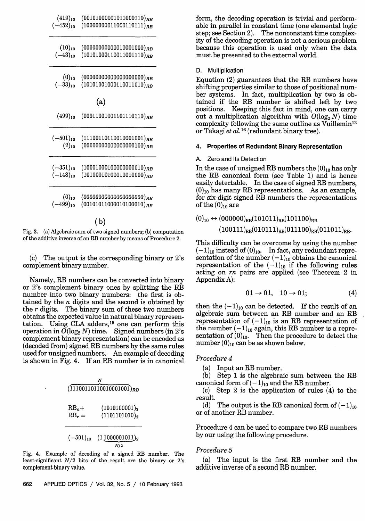| $(419)_{10}$                                        | $(00101000001011000110)_{RB}$                                |
|-----------------------------------------------------|--------------------------------------------------------------|
| $(-452)_{10}$                                       | $(10000000011000110111)_{RB}$                                |
| $(10)_{10}$                                         | $(0000000000010001000)_{RB}$                                 |
| $(-43)_{10}$                                        | $(10101000110011001110)_{RB}$                                |
| $\begin{array}{c} (0)_{10}\ (-33)_{10} \end{array}$ | $(000000000000000000)_{RB}$<br>$(10101001000110011010)_{RB}$ |
|                                                     | (a)                                                          |
| $(499)_{10}$                                        | $(00011001001101110110)_{RB}$                                |
| $(-501)_{10}$                                       | $(11100110110010001001)_{RB}$                                |
| $(2)_{10}$                                          | $(0000000000000000100)_{RB}$                                 |
| $(-351)_{10}$                                       | $(10001000100000000010)_{RB}$                                |
| $(-148)_{10}$                                       | $(10100010100010010000)_{RB}$                                |
| $(0)_{10}$                                          | $(000000000000000000)_{RB}$                                  |
| $(-499)_{10}$                                       | $(00101011000010100010)_{RB}$                                |
|                                                     |                                                              |

(b)

Fig. 3. (a) Algebraic sum of two signed numbers; (b) computation of the additive inverse of an RB number by means of Procedure 2.

(c) The output is the corresponding binary or 2's complement binary number.

Namely, RB numbers can be converted into binary or 2's complement binary ones by splitting the RB number into two binary numbers: the first is obtained by the  $n$  digits and the second is obtained by the r digits. The binary sum of these two numbers obtains the expected value in natural binary representation. Using CLA adders,<sup>15</sup> one can perform this operation in  $\widetilde{O}(\log_2 N)$  time. Signed numbers (in 2's complement binary representation) can be encoded as (decoded from) signed RB numbers by the same rules used for unsigned numbers. An example of decoding is shown in Fig. 4. If an RB number is in canonical

| $(11100110110010001001)_{RB}$ |                                      |  |  |  |
|-------------------------------|--------------------------------------|--|--|--|
| $RB_n+$<br>$RB_r =$           | $(1010100001)_2$<br>$(1101101010)_2$ |  |  |  |
|                               | $(-501)_{10}$ $(1,1000001011)_{2}$   |  |  |  |

Fig. 4. Example of decoding of a signed RB number. The least-significant  $N/2$  bits of the result are the binary or 2's complement binary value,

form, the decoding operation is trivial and performable in parallel in constant time (one elemental logic step; see Section 2). The nonconstant time complexity of the decoding operation is not a serious problem because this operation is used only when the data must be presented to the external world.

D. Multiplication

Equation (2) guarantees that the RB numbers have shifting properties similar to those of positional number systems. In fact, multiplication by two is obtained if the RB number is shifted left by two positions. Keeping this fact in mind, one can carry out a multiplication algorithm with  $O(\log_2 N)$  time complexity following the same outline as Vuillemin<sup>12</sup> or Takagi *et al.* **1 <sup>6</sup>** (redundant binary tree).

### **4. Properties of Redundant Binary Representation**

#### A. Zero and Its Detection

In the case of unsigned RB numbers the  $(0)_{10}$  has only the RB canonical form (see Table 1) and is hence easily detectable. In the case of signed RB numbers,  $(0)_{10}$  has many RB representations. As an example, for six-digit signed RB numbers the representations of the  $(0)_{10}$  are

$$
(0)_{10} \leftrightarrow (000000)_{RB} (101011)_{RB} (101100)_{RB}
$$
  

$$
(100111)_{RB} (010111)_{RB} (011100)_{RB} (011011)_{RB}.
$$

This difficulty can be overcome by using the number  $(-1)_{10}$  instead of  $(0)_{10}$ . In fact, any redundant representation of the number  $(-1)_{10}$  obtains the canonical representation of the  $(-1)_{10}$  if the following rules acting on *rn* pairs are applied (see Theorem 2 in Appendix A):

$$
01 \rightarrow 01, \quad 10 \rightarrow 01; \tag{4}
$$

then the  $(-1)_{10}$  can be detected. If the result of an algebraic sum between an RB number and an RB representation of  $(-1)_{10}$  is an RB representation of the number  $(-1)_{10}$  again, this RB number is a representation of  $(0)_{10}$ . Then the procedure to detect the number  $(0)_{10}$  can be as shown below.

#### *Procedure 4*

(a) Input an RB number.

(b) Step 1 is the algebraic sum between the RB canonical form of  $(-1)_{10}$  and the RB number.

(c) Step 2 is the application of rules (4) to the result.

(d) The output is the RB canonical form of  $(-1)_{10}$ or of another RB number.

Procedure 4 can be used to compare two RB numbers by our using the following procedure.

#### *Procedure 5*

(a) The input is the first RB number and the additive inverse of a second RB number.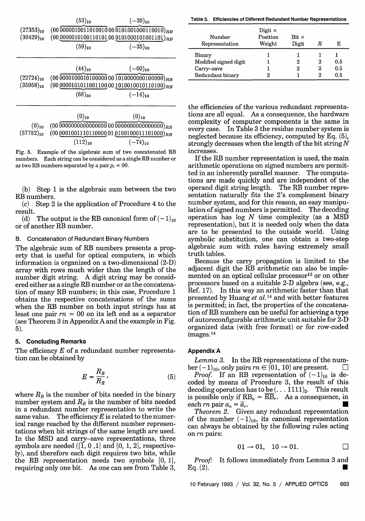|                                                                 | $(53)_{10}$                                        | $(-39)_{10}$                                   |  |  |  |
|-----------------------------------------------------------------|----------------------------------------------------|------------------------------------------------|--|--|--|
| $(27353)_{10}$                                                  | $(00\,00000100110100100001010010000110010)_{RB}$   |                                                |  |  |  |
| $(30429)_{10}$                                                  | $(00\,0000010100110101,00\,0101000101001101)_{RB}$ |                                                |  |  |  |
|                                                                 | $(59)_{10}$                                        | $(-35)_{10}$                                   |  |  |  |
|                                                                 |                                                    |                                                |  |  |  |
|                                                                 | $(44)_{10}$                                        | $(-60)_{10}$                                   |  |  |  |
| $(22724)_{10}$                                                  | $(00\,0000100010100000000101000000000000)$ $RB$    |                                                |  |  |  |
| $(35058)_{10}$<br>$(000000101011001100001010010010110100)_{RB}$ |                                                    |                                                |  |  |  |
|                                                                 | $(68)_{10}$                                        | $(-14)_{10}$                                   |  |  |  |
|                                                                 |                                                    |                                                |  |  |  |
|                                                                 | $(0)_{10}$                                         | $(0)_{10}$                                     |  |  |  |
| $(0)_{10}$                                                      |                                                    |                                                |  |  |  |
| $(57782)_{10}$                                                  |                                                    | $(0000010011101100000101000100011101000)_{RB}$ |  |  |  |
|                                                                 | $(112)_{10}$                                       | $(-74)_{10}$                                   |  |  |  |

Fig. 5. Example of the algebraic sum of two concatenated RB numbers. Each string can be considered as a single RB number or as two RB numbers separated by a pair  $p_i = 00$ .

(b) Step 1 is the algebraic sum between the two RB numbers.

**(c)** Step 2 is the application of Procedure 4 to the  $result.$ <br>(d)

The output is the RB canonical form of  $(-1)_{10}$ or of another RB number.

#### **B. Concatenation of Redundant Binary Numbers**

The algebraic sum of RB numbers presents a property that is useful for optical computers, in which information is organized on a two-dimensional (2-D) array with rows much wider than the length of the number digit string. A digit string may be considered either as a single RB number or as the concatenation of many RB numbers; in this case, Procedure 1 obtains the respective concatenations of the sums when the RB number on both input strings has at least one pair *rn =* 00 on its left end as a separator (see Theorem 3 in Appendix A and the example in Fig. 5).

#### **5. Concluding Remarks**

The efficiency *E* of a redundant number representation can be obtained by

$$
E = \frac{R_B}{R_R},\tag{5}
$$

where  $R_B$  is the number of bits needed in the binary number system and  $R_R$  is the number of bits needed in a redundant number representation to write the same value. The efficiency *E* is related to the numerical range reached by the different number representations when bit strings of the same length are used. In the MSD and carry-save representations, three symbols are needed  $\langle \overline{1}, 0, 1 \rangle$  and  $\langle 0, 1, 2 \rangle$ , respectively), and therefore each digit requires two bits, while the RB representation needs two symbols  $\{0, 1\}$ , requiring only one bit. As one can see from Table 3,

**Table 3. Efficiencies of Different Redundant Number Representations**

| Number<br>Representation                                          | Digit $\times$<br>Position<br>Weight | $_{\rm Bit}$ $\times$<br>Digit |   | Е                 |
|-------------------------------------------------------------------|--------------------------------------|--------------------------------|---|-------------------|
| Binary<br>Modified signed digit<br>Carry-save<br>Redundant binary |                                      | 2<br>2                         | 2 | 0.5<br>0.5<br>0.5 |

the efficiencies of the various redundant representations are all equal. As a consequence, the hardware complexity of computer components is the same in every case. In Table 3 the residue number system is neglected because its efficiency, computed by Eq. (5), strongly decreases when the length of the bit string  $N$ increases.

If the RB number representation is used, the main arithmetic operations on signed numbers are permitted in an inherently parallel manner. The computations are made quickly and are independent of the operand digit string length. The RB number representation naturally fits the 2's complement binary number system, and for this reason, an easy manipulation of signed numbers is permitted. The decoding operation has  $log N$  time complexity (as a MSD representation), but it is needed only when the data are to be presented to the outside world. Using symbolic substitution, one can obtain a two-step algebraic sum with rules having extremely small truth tables.

Because the carry propagation is limited to the adjacent digit the RB arithmetic can also be implemented on an optical cellular processor<sup>13</sup> or on other processors based on a suitable 2-D algebra (see, e.g., Ref. 17). In this way an arithmetic faster than that presented by Huang et al.<sup>14</sup> and with better features is permitted; in fact, the properties of the concatenation of RB numbers can be useful for achieving a type of autoreconfigurable arithmetic unit suitable for 2-D organized data (with free format) or for row-coded images.14

#### **Appendix A**

*Lemma 3.* In the RB representations of the number  $(-1)_{10}$ , only pairs  $rn \in \{01, 10\}$  are present.

*Proof.* If an RB representation of  $(-1)_{10}$  is decoded by means of Procedure 3, the result of this decoding operation has to be  $(\dots 1111)_2$ . This result is possible only if  $RB_n = \overline{RB}_r$ . As a consequence, in each *rn* pair  $a_n = \overline{a}_r$ .

*Theorem 2.* Given any redundant representation of the number  $(-1)_{10}$ , its canonical representation can always be obtained by the following rules acting on *rn* pairs:

$$
01 \rightarrow 01, \quad 10 \rightarrow 01. \qquad \qquad \Box
$$

*Proof:* It follows immediately from Lemma 3 and  $Eq. (2).$ 

10 February 1993 / Vol. 32, No. 5 / APPLIED OPTICS 663